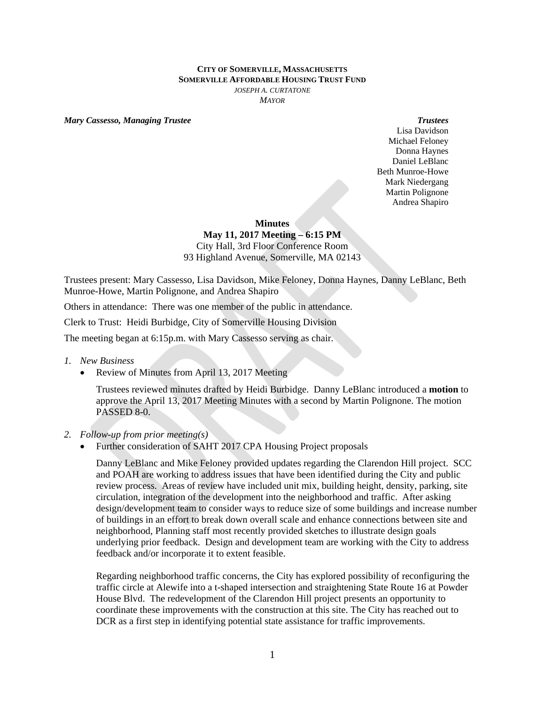## **CITY OF SOMERVILLE, MASSACHUSETTS SOMERVILLE AFFORDABLE HOUSING TRUST FUND** *JOSEPH A. CURTATONE MAYOR*

*Mary Cassesso, Managing Trustee Trustees* 

Lisa Davidson Michael Feloney Donna Haynes Daniel LeBlanc Beth Munroe-Howe Mark Niedergang Martin Polignone Andrea Shapiro

**Minutes** 

## **May 11, 2017 Meeting – 6:15 PM**

City Hall, 3rd Floor Conference Room 93 Highland Avenue, Somerville, MA 02143

Trustees present: Mary Cassesso, Lisa Davidson, Mike Feloney, Donna Haynes, Danny LeBlanc, Beth Munroe-Howe, Martin Polignone, and Andrea Shapiro

Others in attendance: There was one member of the public in attendance.

Clerk to Trust: Heidi Burbidge, City of Somerville Housing Division

The meeting began at 6:15p.m. with Mary Cassesso serving as chair.

- *1. New Business* 
	- Review of Minutes from April 13, 2017 Meeting

Trustees reviewed minutes drafted by Heidi Burbidge. Danny LeBlanc introduced a **motion** to approve the April 13, 2017 Meeting Minutes with a second by Martin Polignone. The motion PASSED 8-0.

## *2. Follow-up from prior meeting(s)*

Further consideration of SAHT 2017 CPA Housing Project proposals

Danny LeBlanc and Mike Feloney provided updates regarding the Clarendon Hill project. SCC and POAH are working to address issues that have been identified during the City and public review process. Areas of review have included unit mix, building height, density, parking, site circulation, integration of the development into the neighborhood and traffic. After asking design/development team to consider ways to reduce size of some buildings and increase number of buildings in an effort to break down overall scale and enhance connections between site and neighborhood, Planning staff most recently provided sketches to illustrate design goals underlying prior feedback. Design and development team are working with the City to address feedback and/or incorporate it to extent feasible.

Regarding neighborhood traffic concerns, the City has explored possibility of reconfiguring the traffic circle at Alewife into a t-shaped intersection and straightening State Route 16 at Powder House Blvd. The redevelopment of the Clarendon Hill project presents an opportunity to coordinate these improvements with the construction at this site. The City has reached out to DCR as a first step in identifying potential state assistance for traffic improvements.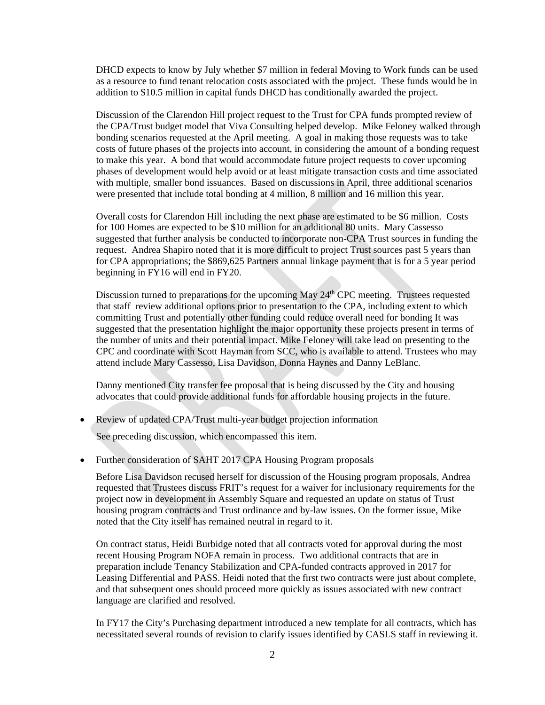DHCD expects to know by July whether \$7 million in federal Moving to Work funds can be used as a resource to fund tenant relocation costs associated with the project. These funds would be in addition to \$10.5 million in capital funds DHCD has conditionally awarded the project.

Discussion of the Clarendon Hill project request to the Trust for CPA funds prompted review of the CPA/Trust budget model that Viva Consulting helped develop. Mike Feloney walked through bonding scenarios requested at the April meeting. A goal in making those requests was to take costs of future phases of the projects into account, in considering the amount of a bonding request to make this year. A bond that would accommodate future project requests to cover upcoming phases of development would help avoid or at least mitigate transaction costs and time associated with multiple, smaller bond issuances. Based on discussions in April, three additional scenarios were presented that include total bonding at 4 million, 8 million and 16 million this year.

Overall costs for Clarendon Hill including the next phase are estimated to be \$6 million. Costs for 100 Homes are expected to be \$10 million for an additional 80 units. Mary Cassesso suggested that further analysis be conducted to incorporate non-CPA Trust sources in funding the request. Andrea Shapiro noted that it is more difficult to project Trust sources past 5 years than for CPA appropriations; the \$869,625 Partners annual linkage payment that is for a 5 year period beginning in FY16 will end in FY20.

Discussion turned to preparations for the upcoming May  $24<sup>th</sup>$  CPC meeting. Trustees requested that staff review additional options prior to presentation to the CPA, including extent to which committing Trust and potentially other funding could reduce overall need for bonding It was suggested that the presentation highlight the major opportunity these projects present in terms of the number of units and their potential impact. Mike Feloney will take lead on presenting to the CPC and coordinate with Scott Hayman from SCC, who is available to attend. Trustees who may attend include Mary Cassesso, Lisa Davidson, Donna Haynes and Danny LeBlanc.

Danny mentioned City transfer fee proposal that is being discussed by the City and housing advocates that could provide additional funds for affordable housing projects in the future.

Review of updated CPA/Trust multi-year budget projection information

See preceding discussion, which encompassed this item.

Further consideration of SAHT 2017 CPA Housing Program proposals

Before Lisa Davidson recused herself for discussion of the Housing program proposals, Andrea requested that Trustees discuss FRIT's request for a waiver for inclusionary requirements for the project now in development in Assembly Square and requested an update on status of Trust housing program contracts and Trust ordinance and by-law issues. On the former issue, Mike noted that the City itself has remained neutral in regard to it.

On contract status, Heidi Burbidge noted that all contracts voted for approval during the most recent Housing Program NOFA remain in process. Two additional contracts that are in preparation include Tenancy Stabilization and CPA-funded contracts approved in 2017 for Leasing Differential and PASS. Heidi noted that the first two contracts were just about complete, and that subsequent ones should proceed more quickly as issues associated with new contract language are clarified and resolved.

In FY17 the City's Purchasing department introduced a new template for all contracts, which has necessitated several rounds of revision to clarify issues identified by CASLS staff in reviewing it.